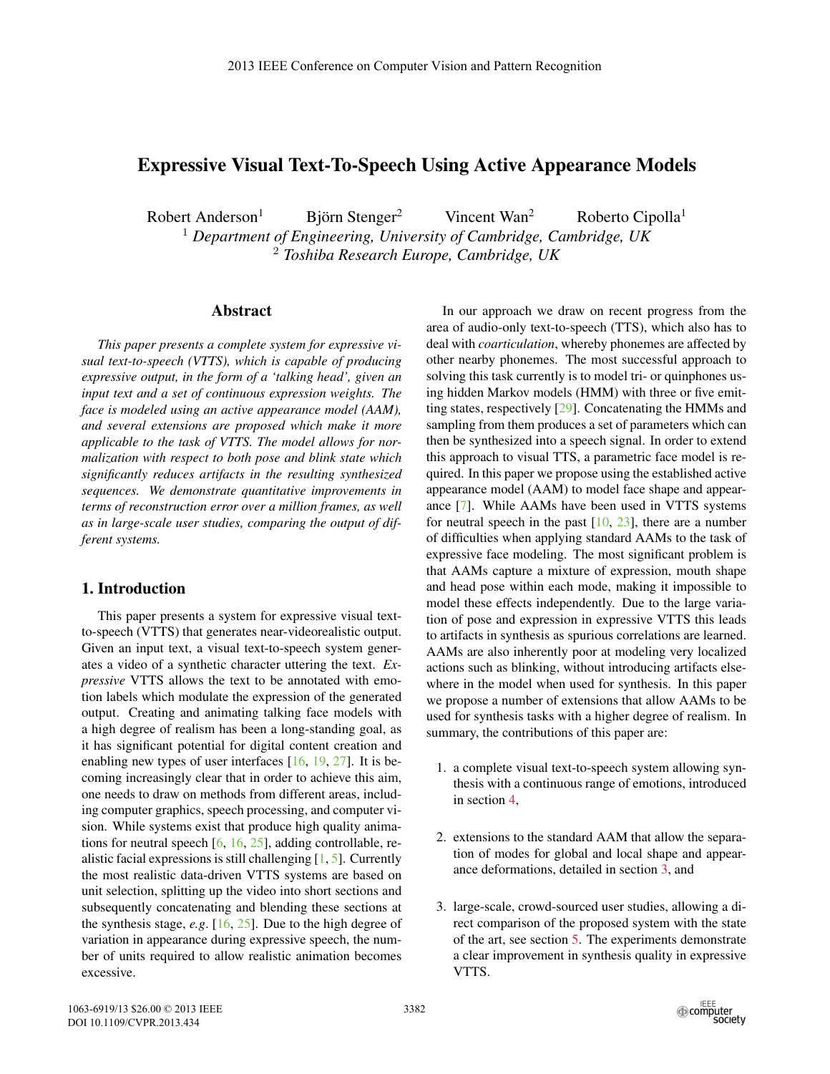# Expressive Visual Text-To-Speech Using Active Appearance Models

 $Robert Anderson<sup>1</sup>$  Björn Stenger<sup>2</sup> Vincent Wan<sup>2</sup> Roberto Cipolla<sup>1</sup>

<sup>1</sup> *Department of Engineering, University of Cambridge, Cambridge, UK* <sup>2</sup> *Toshiba Research Europe, Cambridge, UK*

## Abstract

*This paper presents a complete system for expressive visual text-to-speech (VTTS), which is capable of producing expressive output, in the form of a 'talking head', given an input text and a set of continuous expression weights. The face is modeled using an active appearance model (AAM), and several extensions are proposed which make it more applicable to the task of VTTS. The model allows for normalization with respect to both pose and blink state which significantly reduces artifacts in the resulting synthesized sequences. We demonstrate quantitative improvements in terms of reconstruction error over a million frames, as well as in large-scale user studies, comparing the output of different systems.*

# 1. Introduction

This paper presents a system for expressive visual textto-speech (VTTS) that generates near-videorealistic output. Given an input text, a visual text-to-speech system generates a video of a synthetic character uttering the text. *Expressive* VTTS allows the text to be annotated with emotion labels which modulate the expression of the generated output. Creating and animating talking face models with a high degree of realism has been a long-standing goal, as it has significant potential for digital content creation and enabling new types of user interfaces [16, 19, 27]. It is becoming increasingly clear that in order to achieve this aim, one needs to draw on methods from different areas, including computer graphics, speech processing, and computer vision. While systems exist that produce high quality animations for neutral speech [6, 16, 25], adding controllable, realistic facial expressions is still challenging  $[1, 5]$ . Currently the most realistic data-driven VTTS systems are based on unit selection, splitting up the video into short sections and subsequently concatenating and blending these sections at the synthesis stage, *e.g*. [16, 25]. Due to the high degree of variation in appearance during expressive speech, the number of units required to allow realistic animation becomes excessive.

In our approach we draw on recent progress from the area of audio-only text-to-speech (TTS), which also has to deal with *coarticulation*, whereby phonemes are affected by other nearby phonemes. The most successful approach to solving this task currently is to model tri- or quinphones using hidden Markov models (HMM) with three or five emitting states, respectively [29]. Concatenating the HMMs and sampling from them produces a set of parameters which can then be synthesized into a speech signal. In order to extend this approach to visual TTS, a parametric face model is required. In this paper we propose using the established active appearance model (AAM) to model face shape and appearance [7]. While AAMs have been used in VTTS systems for neutral speech in the past  $[10, 23]$ , there are a number of difficulties when applying standard AAMs to the task of expressive face modeling. The most significant problem is that AAMs capture a mixture of expression, mouth shape and head pose within each mode, making it impossible to model these effects independently. Due to the large variation of pose and expression in expressive VTTS this leads to artifacts in synthesis as spurious correlations are learned. AAMs are also inherently poor at modeling very localized actions such as blinking, without introducing artifacts elsewhere in the model when used for synthesis. In this paper we propose a number of extensions that allow AAMs to be used for synthesis tasks with a higher degree of realism. In summary, the contributions of this paper are:

- 1. a complete visual text-to-speech system allowing synthesis with a continuous range of emotions, introduced in section 4,
- 2. extensions to the standard AAM that allow the separation of modes for global and local shape and appearance deformations, detailed in section 3, and
- 3. large-scale, crowd-sourced user studies, allowing a direct comparison of the proposed system with the state of the art, see section 5. The experiments demonstrate a clear improvement in synthesis quality in expressive VTTS.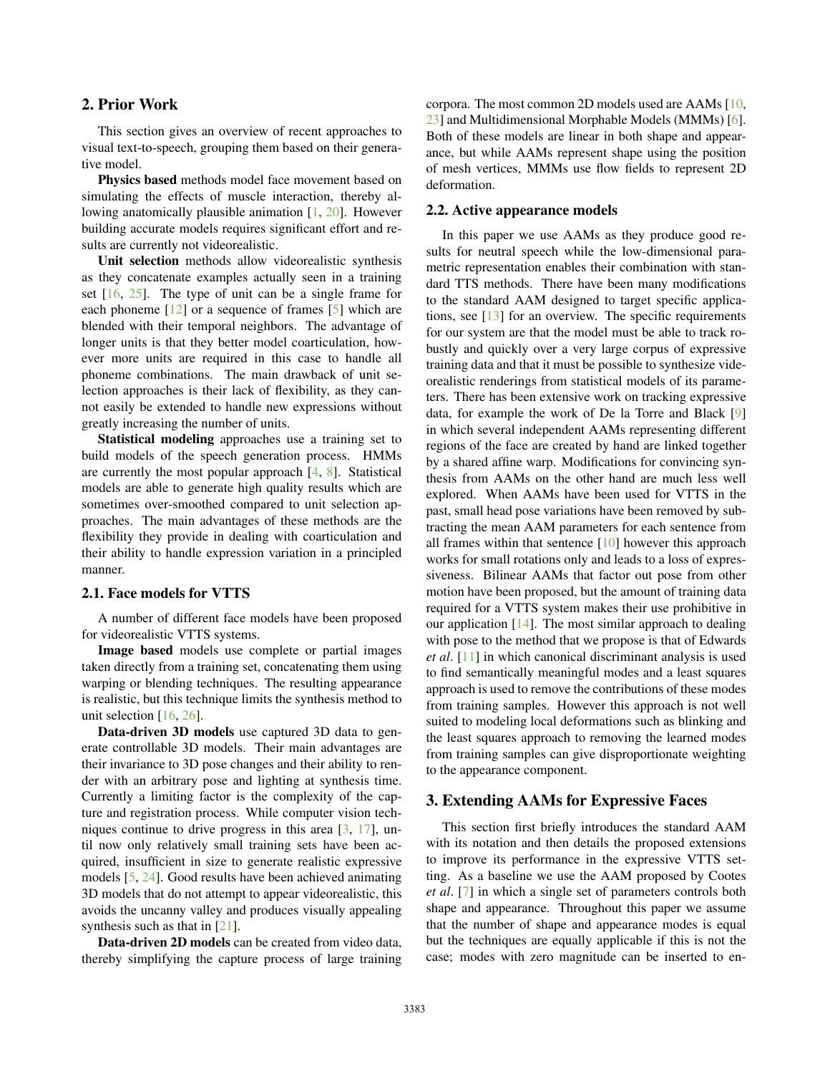# 2. Prior Work

This section gives an overview of recent approaches to visual text-to-speech, grouping them based on their generative model.

Physics based methods model face movement based on simulating the effects of muscle interaction, thereby allowing anatomically plausible animation [1, 20]. However building accurate models requires significant effort and results are currently not videorealistic.

Unit selection methods allow videorealistic synthesis as they concatenate examples actually seen in a training set  $[16, 25]$ . The type of unit can be a single frame for each phoneme  $[12]$  or a sequence of frames  $[5]$  which are blended with their temporal neighbors. The advantage of longer units is that they better model coarticulation, however more units are required in this case to handle all phoneme combinations. The main drawback of unit selection approaches is their lack of flexibility, as they cannot easily be extended to handle new expressions without greatly increasing the number of units.

Statistical modeling approaches use a training set to build models of the speech generation process. HMMs are currently the most popular approach [4, 8]. Statistical models are able to generate high quality results which are sometimes over-smoothed compared to unit selection approaches. The main advantages of these methods are the flexibility they provide in dealing with coarticulation and their ability to handle expression variation in a principled manner.

### 2.1. Face models for VTTS

A number of different face models have been proposed for videorealistic VTTS systems.

Image based models use complete or partial images taken directly from a training set, concatenating them using warping or blending techniques. The resulting appearance is realistic, but this technique limits the synthesis method to unit selection  $[16, 26]$ .

Data-driven 3D models use captured 3D data to generate controllable 3D models. Their main advantages are their invariance to 3D pose changes and their ability to render with an arbitrary pose and lighting at synthesis time. Currently a limiting factor is the complexity of the capture and registration process. While computer vision techniques continue to drive progress in this area [3, 17], until now only relatively small training sets have been acquired, insufficient in size to generate realistic expressive models [5, 24]. Good results have been achieved animating 3D models that do not attempt to appear videorealistic, this avoids the uncanny valley and produces visually appealing synthesis such as that in [21].

Data-driven 2D models can be created from video data, thereby simplifying the capture process of large training corpora. The most common 2D models used are AAMs [10, 23] and Multidimensional Morphable Models (MMMs) [6]. Both of these models are linear in both shape and appearance, but while AAMs represent shape using the position of mesh vertices, MMMs use flow fields to represent 2D deformation.

### 2.2. Active appearance models

In this paper we use AAMs as they produce good results for neutral speech while the low-dimensional parametric representation enables their combination with standard TTS methods. There have been many modifications to the standard AAM designed to target specific applications, see  $[13]$  for an overview. The specific requirements for our system are that the model must be able to track robustly and quickly over a very large corpus of expressive training data and that it must be possible to synthesize videorealistic renderings from statistical models of its parameters. There has been extensive work on tracking expressive data, for example the work of De la Torre and Black [9] in which several independent AAMs representing different regions of the face are created by hand are linked together by a shared affine warp. Modifications for convincing synthesis from AAMs on the other hand are much less well explored. When AAMs have been used for VTTS in the past, small head pose variations have been removed by subtracting the mean AAM parameters for each sentence from all frames within that sentence  $[10]$  however this approach works for small rotations only and leads to a loss of expressiveness. Bilinear AAMs that factor out pose from other motion have been proposed, but the amount of training data required for a VTTS system makes their use prohibitive in our application [14]. The most similar approach to dealing with pose to the method that we propose is that of Edwards *et al*. [11] in which canonical discriminant analysis is used to find semantically meaningful modes and a least squares approach is used to remove the contributions of these modes from training samples. However this approach is not well suited to modeling local deformations such as blinking and the least squares approach to removing the learned modes from training samples can give disproportionate weighting to the appearance component.

### 3. Extending AAMs for Expressive Faces

This section first briefly introduces the standard AAM with its notation and then details the proposed extensions to improve its performance in the expressive VTTS setting. As a baseline we use the AAM proposed by Cootes *et al*. [7] in which a single set of parameters controls both shape and appearance. Throughout this paper we assume that the number of shape and appearance modes is equal but the techniques are equally applicable if this is not the case; modes with zero magnitude can be inserted to en-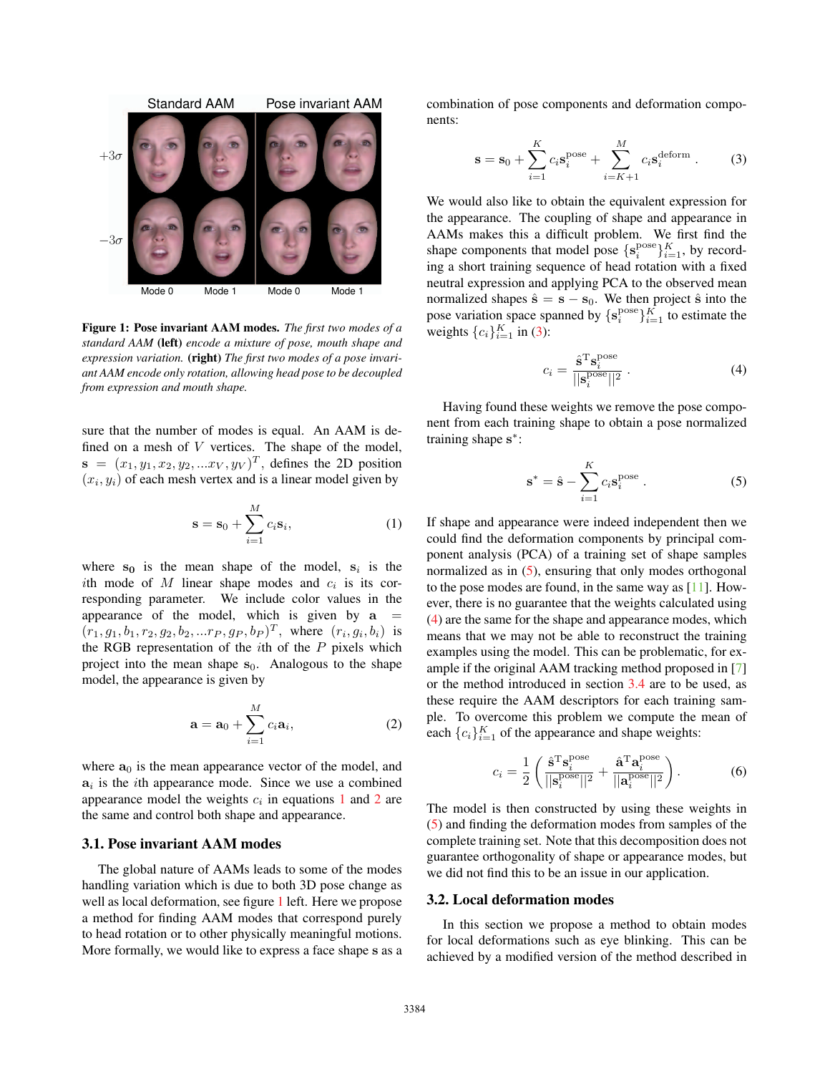

Figure 1: Pose invariant AAM modes. *The first two modes of a standard AAM* (left) *encode a mixture of pose, mouth shape and expression variation.* (right) *The first two modes of a pose invariant AAM encode only rotation, allowing head pose to be decoupled from expression and mouth shape.*

sure that the number of modes is equal. An AAM is defined on a mesh of  $V$  vertices. The shape of the model,  $\mathbf{s} = (x_1, y_1, x_2, y_2, ... x_V, y_V)^T$ , defines the 2D position  $(x<sub>i</sub>, y<sub>i</sub>)$  of each mesh vertex and is a linear model given by

$$
\mathbf{s} = \mathbf{s}_0 + \sum_{i=1}^{M} c_i \mathbf{s}_i,\tag{1}
$$

where  $s_0$  is the mean shape of the model,  $s_i$  is the ith mode of  $M$  linear shape modes and  $c_i$  is its corresponding parameter. We include color values in the appearance of the model, which is given by  $a =$  $(r_1, g_1, b_1, r_2, g_2, b_2, ... r_P, g_P, b_P)^T$ , where  $(r_i, g_i, b_i)$  is the RGB representation of the  $i$ th of the  $P$  pixels which project into the mean shape  $s_0$ . Analogous to the shape model, the appearance is given by

$$
\mathbf{a} = \mathbf{a}_0 + \sum_{i=1}^{M} c_i \mathbf{a}_i,
$$
 (2)

where  $a_0$  is the mean appearance vector of the model, and  $a_i$  is the *i*th appearance mode. Since we use a combined appearance model the weights  $c_i$  in equations 1 and 2 are the same and control both shape and appearance.

## 3.1. Pose invariant AAM modes

The global nature of AAMs leads to some of the modes handling variation which is due to both 3D pose change as well as local deformation, see figure 1 left. Here we propose a method for finding AAM modes that correspond purely to head rotation or to other physically meaningful motions. More formally, we would like to express a face shape **s** as a combination of pose components and deformation components:

$$
\mathbf{s} = \mathbf{s}_0 + \sum_{i=1}^{K} c_i \mathbf{s}_i^{\text{pose}} + \sum_{i=K+1}^{M} c_i \mathbf{s}_i^{\text{deform}}.
$$
 (3)

We would also like to obtain the equivalent expression for the appearance. The coupling of shape and appearance in AAMs makes this a difficult problem. We first find the shape components that model pose  $\{s_i^{pose}\}_{i=1}^K$ , by recording a short training sequence of head rotation with a fixed neutral expression and applying PCA to the observed mean normalized shapes  $\hat{\mathbf{s}} = \mathbf{s} - \mathbf{s}_0$ . We then project  $\hat{\mathbf{s}}$  into the pose variation space spanned by  $\{s_i^{pose}\}_{i=1}^K$  to estimate the weights  $\{c_i\}_{i=1}^K$  in (3):

$$
c_i = \frac{\hat{\mathbf{s}}^{\mathrm{T}} \mathbf{s}_i^{\mathrm{pose}}}{\vert \vert \mathbf{s}_i^{\mathrm{pose}} \vert \vert^2} \,. \tag{4}
$$

Having found these weights we remove the pose component from each training shape to obtain a pose normalized training shape **s**∗:

$$
\mathbf{s}^* = \hat{\mathbf{s}} - \sum_{i=1}^K c_i \mathbf{s}_i^{\text{pose}}.
$$
 (5)

If shape and appearance were indeed independent then we could find the deformation components by principal component analysis (PCA) of a training set of shape samples normalized as in  $(5)$ , ensuring that only modes orthogonal to the pose modes are found, in the same way as [11]. However, there is no guarantee that the weights calculated using (4) are the same for the shape and appearance modes, which means that we may not be able to reconstruct the training examples using the model. This can be problematic, for example if the original AAM tracking method proposed in [7] or the method introduced in section 3.4 are to be used, as these require the AAM descriptors for each training sample. To overcome this problem we compute the mean of each  ${c_i}_{i=1}^K$  of the appearance and shape weights:

$$
c_i = \frac{1}{2} \left( \frac{\hat{\mathbf{s}}^{\mathrm{T}} \mathbf{s}_i^{\mathrm{pose}}}{||\mathbf{s}_i^{\mathrm{pose}}||^2} + \frac{\hat{\mathbf{a}}^{\mathrm{T}} \mathbf{a}_i^{\mathrm{pose}}}{||\mathbf{a}_i^{\mathrm{pose}}||^2} \right).
$$
 (6)

The model is then constructed by using these weights in (5) and finding the deformation modes from samples of the complete training set. Note that this decomposition does not guarantee orthogonality of shape or appearance modes, but we did not find this to be an issue in our application.

### 3.2. Local deformation modes

In this section we propose a method to obtain modes for local deformations such as eye blinking. This can be achieved by a modified version of the method described in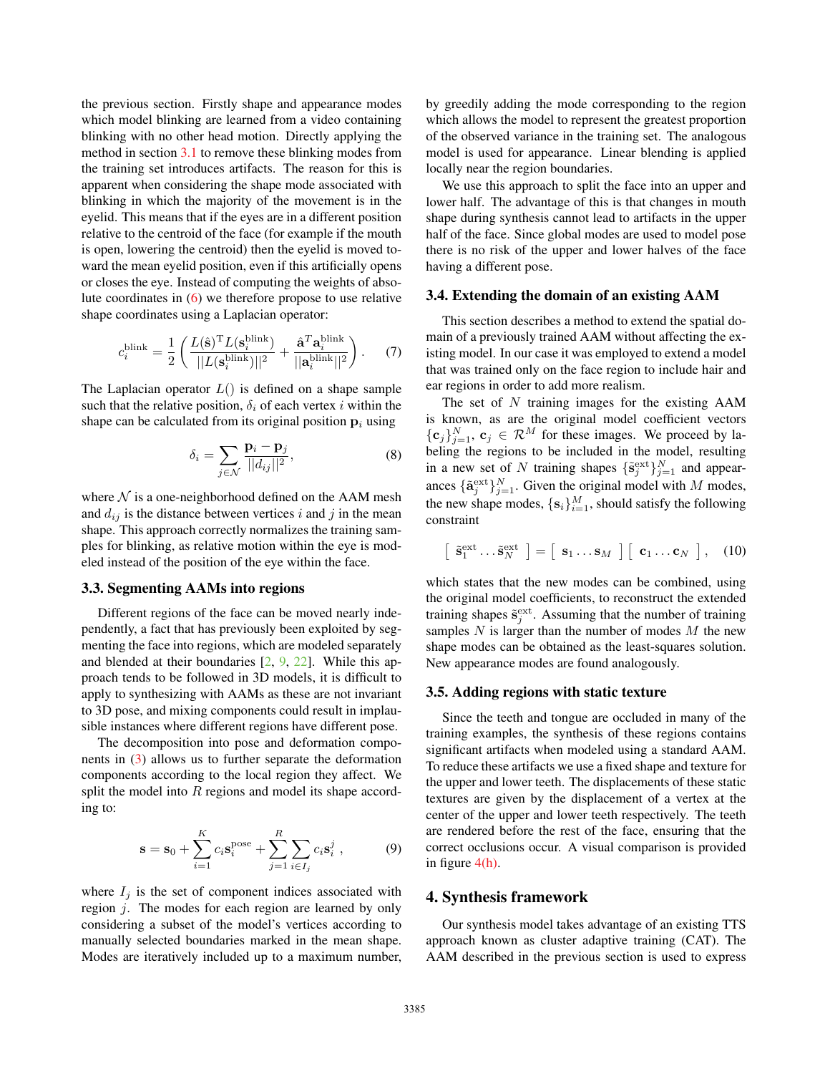the previous section. Firstly shape and appearance modes which model blinking are learned from a video containing blinking with no other head motion. Directly applying the method in section 3.1 to remove these blinking modes from the training set introduces artifacts. The reason for this is apparent when considering the shape mode associated with blinking in which the majority of the movement is in the eyelid. This means that if the eyes are in a different position relative to the centroid of the face (for example if the mouth is open, lowering the centroid) then the eyelid is moved toward the mean eyelid position, even if this artificially opens or closes the eye. Instead of computing the weights of absolute coordinates in (6) we therefore propose to use relative shape coordinates using a Laplacian operator:

$$
c_i^{\text{blink}} = \frac{1}{2} \left( \frac{L(\hat{\mathbf{s}})^{\text{T}} L(\mathbf{s}_i^{\text{blink}})}{||L(\mathbf{s}_i^{\text{blink}})||^2} + \frac{\hat{\mathbf{a}}^T \mathbf{a}_i^{\text{blink}}}{||\mathbf{a}_i^{\text{hink}}||^2} \right). \tag{7}
$$

The Laplacian operator  $L()$  is defined on a shape sample such that the relative position,  $\delta_i$  of each vertex i within the shape can be calculated from its original position  $p_i$  using

$$
\delta_i = \sum_{j \in \mathcal{N}} \frac{\mathbf{p}_i - \mathbf{p}_j}{||d_{ij}||^2},\tag{8}
$$

where  $N$  is a one-neighborhood defined on the AAM mesh and  $d_{ij}$  is the distance between vertices i and j in the mean shape. This approach correctly normalizes the training samples for blinking, as relative motion within the eye is modeled instead of the position of the eye within the face.

# 3.3. Segmenting AAMs into regions

Different regions of the face can be moved nearly independently, a fact that has previously been exploited by segmenting the face into regions, which are modeled separately and blended at their boundaries [2, 9, 22]. While this approach tends to be followed in 3D models, it is difficult to apply to synthesizing with AAMs as these are not invariant to 3D pose, and mixing components could result in implausible instances where different regions have different pose.

The decomposition into pose and deformation components in (3) allows us to further separate the deformation components according to the local region they affect. We split the model into R regions and model its shape according to:

$$
\mathbf{s} = \mathbf{s}_0 + \sum_{i=1}^{K} c_i \mathbf{s}_i^{\text{pose}} + \sum_{j=1}^{R} \sum_{i \in I_j} c_i \mathbf{s}_i^j , \qquad (9)
$$

where  $I_j$  is the set of component indices associated with region j. The modes for each region are learned by only considering a subset of the model's vertices according to manually selected boundaries marked in the mean shape. Modes are iteratively included up to a maximum number,

by greedily adding the mode corresponding to the region which allows the model to represent the greatest proportion of the observed variance in the training set. The analogous model is used for appearance. Linear blending is applied locally near the region boundaries.

We use this approach to split the face into an upper and lower half. The advantage of this is that changes in mouth shape during synthesis cannot lead to artifacts in the upper half of the face. Since global modes are used to model pose there is no risk of the upper and lower halves of the face having a different pose.

## 3.4. Extending the domain of an existing AAM

This section describes a method to extend the spatial domain of a previously trained AAM without affecting the existing model. In our case it was employed to extend a model that was trained only on the face region to include hair and ear regions in order to add more realism.

The set of  $N$  training images for the existing  $AAM$ is known, as are the original model coefficient vectors  $\{\mathbf c_j\}_{j=1}^N$ ,  $\mathbf c_j \in \mathcal R^M$  for these images. We proceed by labeling the regions to be included in the model, resulting in a new set of N training shapes  $\{\tilde{s}_j^{\text{ext}}\}_{j=1}^N$  and appearances  $\{\tilde{\mathbf{a}}_j^{\text{ext}}\}_{j=1}^N$ . Given the original model with M modes, the new shape modes,  $\{s_i\}_{i=1}^M$ , should satisfy the following constraint

$$
\left[\begin{array}{c} \tilde{\mathbf{s}}_1^{\text{ext}} \dots \tilde{\mathbf{s}}_N^{\text{ext}} \end{array}\right] = \left[\begin{array}{c} \mathbf{s}_1 \dots \mathbf{s}_M \end{array}\right] \left[\begin{array}{c} \mathbf{c}_1 \dots \mathbf{c}_N \end{array}\right], \quad (10)
$$

which states that the new modes can be combined, using the original model coefficients, to reconstruct the extended training shapes  $\tilde{\mathbf{s}}_j^{\text{ext}}$ . Assuming that the number of training samples  $N$  is larger than the number of modes  $M$  the new shape modes can be obtained as the least-squares solution. New appearance modes are found analogously.

## 3.5. Adding regions with static texture

Since the teeth and tongue are occluded in many of the training examples, the synthesis of these regions contains significant artifacts when modeled using a standard AAM. To reduce these artifacts we use a fixed shape and texture for the upper and lower teeth. The displacements of these static textures are given by the displacement of a vertex at the center of the upper and lower teeth respectively. The teeth are rendered before the rest of the face, ensuring that the correct occlusions occur. A visual comparison is provided in figure  $4(h)$ .

## 4. Synthesis framework

Our synthesis model takes advantage of an existing TTS approach known as cluster adaptive training (CAT). The AAM described in the previous section is used to express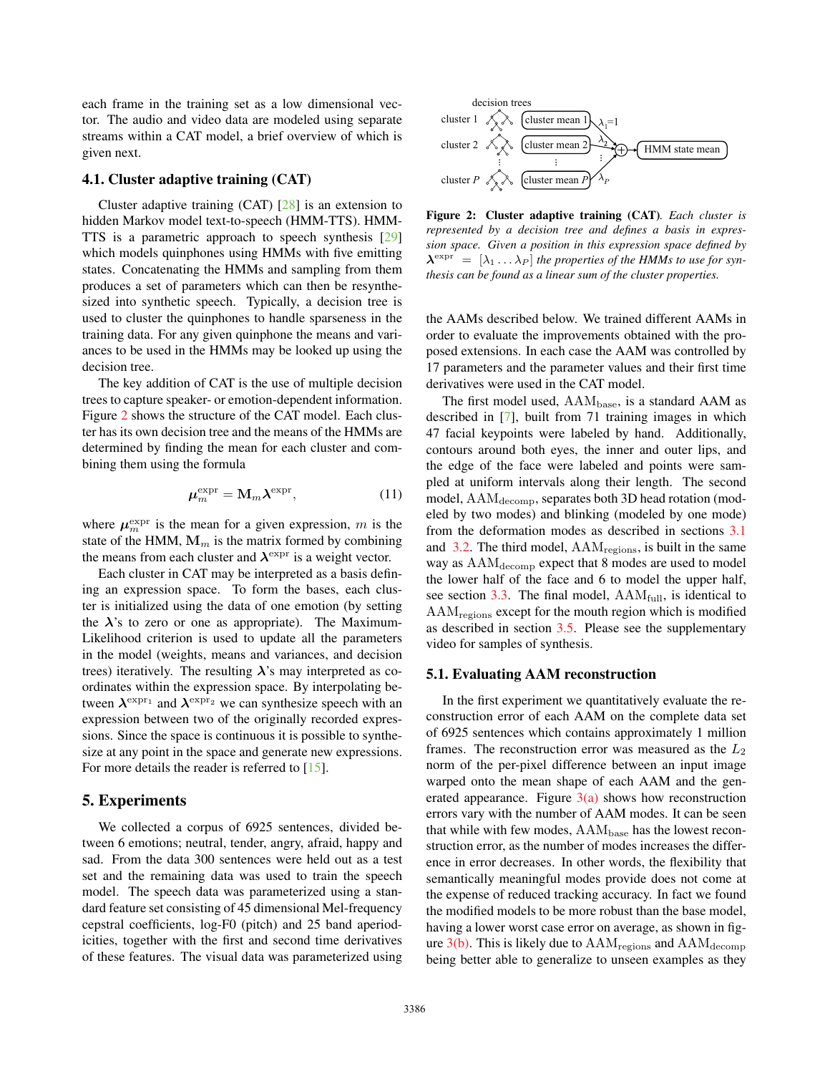each frame in the training set as a low dimensional vector. The audio and video data are modeled using separate streams within a CAT model, a brief overview of which is given next.

# 4.1. Cluster adaptive training (CAT)

Cluster adaptive training  $(CAT)$   $[28]$  is an extension to hidden Markov model text-to-speech (HMM-TTS). HMM-TTS is a parametric approach to speech synthesis [29] which models quinphones using HMMs with five emitting states. Concatenating the HMMs and sampling from them produces a set of parameters which can then be resynthesized into synthetic speech. Typically, a decision tree is used to cluster the quinphones to handle sparseness in the training data. For any given quinphone the means and variances to be used in the HMMs may be looked up using the decision tree.

The key addition of CAT is the use of multiple decision trees to capture speaker- or emotion-dependent information. Figure 2 shows the structure of the CAT model. Each cluster has its own decision tree and the means of the HMMs are determined by finding the mean for each cluster and combining them using the formula

$$
\mu_m^{\text{expr}} = \mathbf{M}_m \boldsymbol{\lambda}^{\text{expr}},\tag{11}
$$

where  $\mu_m^{\text{expr}}$  is the mean for a given expression, m is the state of the HMM,  $M_m$  is the matrix formed by combining the means from each cluster and *λ*expr is a weight vector.

Each cluster in CAT may be interpreted as a basis defining an expression space. To form the bases, each cluster is initialized using the data of one emotion (by setting the  $\lambda$ 's to zero or one as appropriate). The Maximum-Likelihood criterion is used to update all the parameters in the model (weights, means and variances, and decision trees) iteratively. The resulting  $\lambda$ 's may interpreted as coordinates within the expression space. By interpolating between  $\lambda^{\exp r_1}$  and  $\lambda^{\exp r_2}$  we can synthesize speech with an expression between two of the originally recorded expressions. Since the space is continuous it is possible to synthesize at any point in the space and generate new expressions. For more details the reader is referred to [15].

### 5. Experiments

We collected a corpus of 6925 sentences, divided between 6 emotions; neutral, tender, angry, afraid, happy and sad. From the data 300 sentences were held out as a test set and the remaining data was used to train the speech model. The speech data was parameterized using a standard feature set consisting of 45 dimensional Mel-frequency cepstral coefficients, log-F0 (pitch) and 25 band aperiodicities, together with the first and second time derivatives of these features. The visual data was parameterized using



Figure 2: Cluster adaptive training (CAT)*. Each cluster is represented by a decision tree and defines a basis in expression space. Given a position in this expression space defined by*  $\lambda^{\text{expr}} = [\lambda_1 \dots \lambda_P]$  *the properties of the HMMs to use for synthesis can be found as a linear sum of the cluster properties.*

the AAMs described below. We trained different AAMs in order to evaluate the improvements obtained with the proposed extensions. In each case the AAM was controlled by 17 parameters and the parameter values and their first time derivatives were used in the CAT model.

The first model used,  $AAM<sub>base</sub>$ , is a standard  $AAM$  as described in [7], built from 71 training images in which 47 facial keypoints were labeled by hand. Additionally, contours around both eyes, the inner and outer lips, and the edge of the face were labeled and points were sampled at uniform intervals along their length. The second model,  $\text{AAM}_{\text{decomp}}$ , separates both 3D head rotation (modeled by two modes) and blinking (modeled by one mode) from the deformation modes as described in sections 3.1 and 3.2. The third model,  $AAM_{\text{regions}}$ , is built in the same way as  $AAM_{\text{decomp}}$  expect that 8 modes are used to model the lower half of the face and 6 to model the upper half, see section  $3.3$ . The final model,  $AAM_{full}$ , is identical to AAMregions except for the mouth region which is modified as described in section 3.5. Please see the supplementary video for samples of synthesis.

#### 5.1. Evaluating AAM reconstruction

In the first experiment we quantitatively evaluate the reconstruction error of each AAM on the complete data set of 6925 sentences which contains approximately 1 million frames. The reconstruction error was measured as the  $L_2$ norm of the per-pixel difference between an input image warped onto the mean shape of each AAM and the generated appearance. Figure  $3(a)$  shows how reconstruction errors vary with the number of AAM modes. It can be seen that while with few modes,  $AAM<sub>base</sub>$  has the lowest reconstruction error, as the number of modes increases the difference in error decreases. In other words, the flexibility that semantically meaningful modes provide does not come at the expense of reduced tracking accuracy. In fact we found the modified models to be more robust than the base model, having a lower worst case error on average, as shown in figure  $3(b)$ . This is likely due to  $AAM_{\text{regions}}$  and  $AAM_{\text{decomp}}$ being better able to generalize to unseen examples as they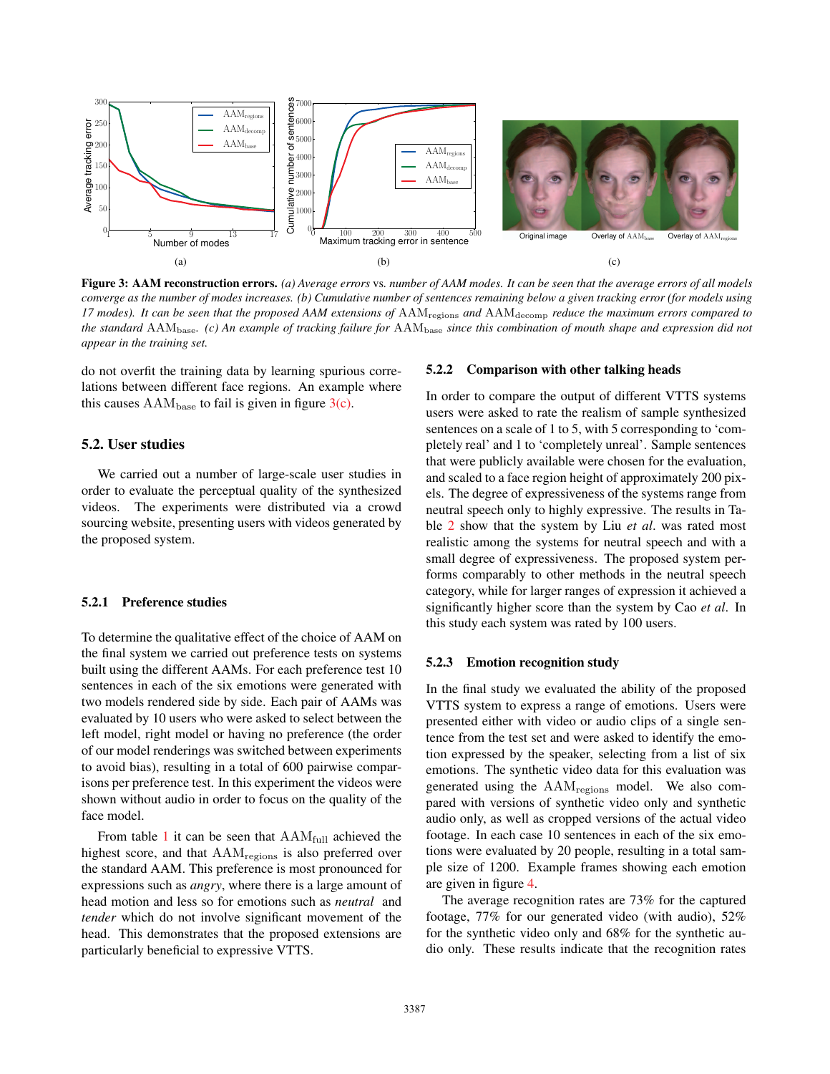

Figure 3: AAM reconstruction errors. *(a) Average errors* vs*. number of AAM modes. It can be seen that the average errors of all models converge as the number of modes increases. (b) Cumulative number of sentences remaining below a given tracking error (for models using 17 modes). It can be seen that the proposed AAM extensions of* AAMregions *and* AAMdecomp *reduce the maximum errors compared to the standard* AAMbase*. (c) An example of tracking failure for* AAMbase *since this combination of mouth shape and expression did not appear in the training set.*

do not overfit the training data by learning spurious correlations between different face regions. An example where this causes  $AAM<sub>base</sub>$  to fail is given in figure  $3(c)$ .

## 5.2. User studies

We carried out a number of large-scale user studies in order to evaluate the perceptual quality of the synthesized videos. The experiments were distributed via a crowd sourcing website, presenting users with videos generated by the proposed system.

# 5.2.1 Preference studies

To determine the qualitative effect of the choice of AAM on the final system we carried out preference tests on systems built using the different AAMs. For each preference test 10 sentences in each of the six emotions were generated with two models rendered side by side. Each pair of AAMs was evaluated by 10 users who were asked to select between the left model, right model or having no preference (the order of our model renderings was switched between experiments to avoid bias), resulting in a total of 600 pairwise comparisons per preference test. In this experiment the videos were shown without audio in order to focus on the quality of the face model.

From table 1 it can be seen that  $AAM_{full}$  achieved the highest score, and that  $AAM_{\text{regions}}$  is also preferred over the standard AAM. This preference is most pronounced for expressions such as *angry*, where there is a large amount of head motion and less so for emotions such as *neutral* and *tender* which do not involve significant movement of the head. This demonstrates that the proposed extensions are particularly beneficial to expressive VTTS.

#### 5.2.2 Comparison with other talking heads

In order to compare the output of different VTTS systems users were asked to rate the realism of sample synthesized sentences on a scale of 1 to 5, with 5 corresponding to 'completely real' and 1 to 'completely unreal'. Sample sentences that were publicly available were chosen for the evaluation, and scaled to a face region height of approximately 200 pixels. The degree of expressiveness of the systems range from neutral speech only to highly expressive. The results in Table 2 show that the system by Liu *et al*. was rated most realistic among the systems for neutral speech and with a small degree of expressiveness. The proposed system performs comparably to other methods in the neutral speech category, while for larger ranges of expression it achieved a significantly higher score than the system by Cao *et al*. In this study each system was rated by 100 users.

### 5.2.3 Emotion recognition study

In the final study we evaluated the ability of the proposed VTTS system to express a range of emotions. Users were presented either with video or audio clips of a single sentence from the test set and were asked to identify the emotion expressed by the speaker, selecting from a list of six emotions. The synthetic video data for this evaluation was generated using the  $AAM_{\text{regions}}$  model. We also compared with versions of synthetic video only and synthetic audio only, as well as cropped versions of the actual video footage. In each case 10 sentences in each of the six emotions were evaluated by 20 people, resulting in a total sample size of 1200. Example frames showing each emotion are given in figure 4.

The average recognition rates are 73% for the captured footage, 77% for our generated video (with audio), 52% for the synthetic video only and 68% for the synthetic audio only. These results indicate that the recognition rates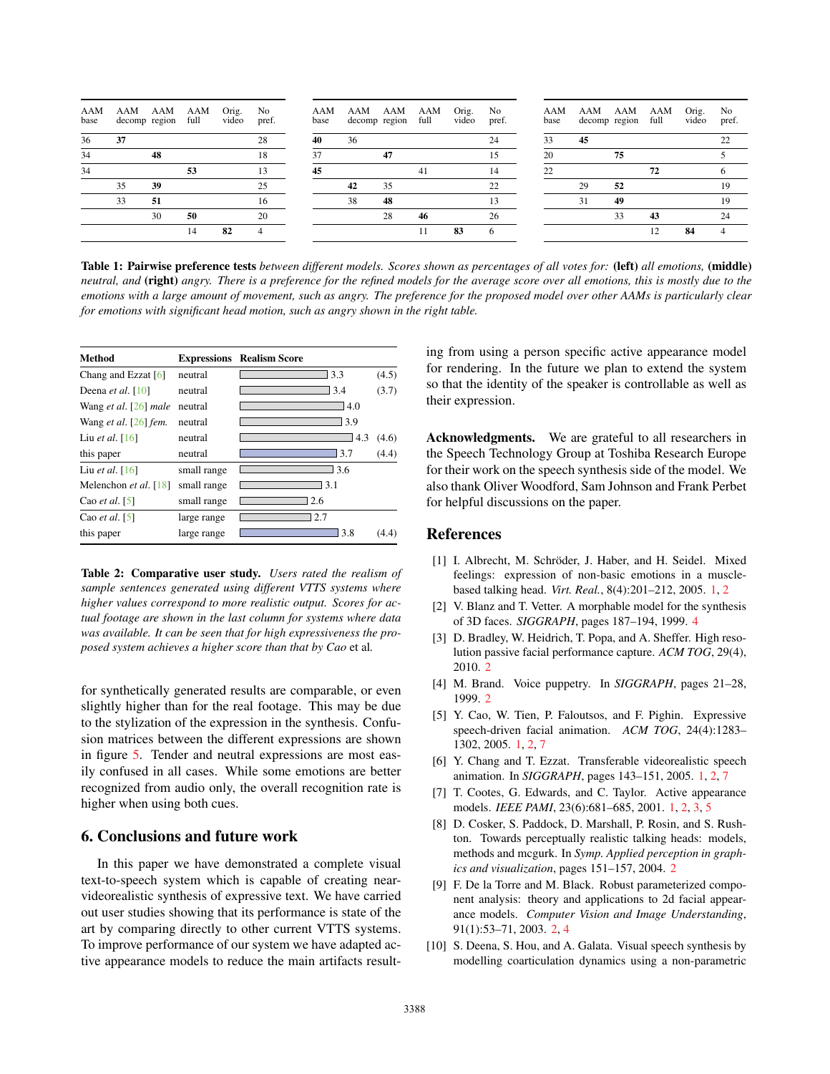| AAM<br>base | AAM AAM<br>decomp region full |    | AAM | Orig.<br>video | No<br>pref.    | AAM<br>base | AAM AAM AAM<br>decomp region |    | full | Orig.<br>video | No<br>pref. | AAM<br>base | AAM AAM AAM<br>decomp region full |    |    | Orig.<br>video | No<br>pref. |
|-------------|-------------------------------|----|-----|----------------|----------------|-------------|------------------------------|----|------|----------------|-------------|-------------|-----------------------------------|----|----|----------------|-------------|
| 36          | 37                            |    |     |                | 28             | 40          | 36                           |    |      |                | 24          | 33          | 45                                |    |    |                | つつ          |
| 34          |                               | 48 |     |                | 18             | 37          |                              | 47 |      |                | 15          | 20          |                                   | 75 |    |                |             |
| 34          |                               |    | 53  |                | 13             | 45          |                              |    | 41   |                | 14          | 22          |                                   |    | 72 |                |             |
|             | 35                            | 39 |     |                | 25             |             | 42                           | 35 |      |                | 22          |             | 29                                | 52 |    |                | 19          |
|             | 33                            | 51 |     |                | 16             |             | 38                           | 48 |      |                | 13          |             | 31                                | 49 |    |                | 19          |
|             |                               | 30 | 50  |                | 20             |             |                              | 28 | 46   |                | 26          |             |                                   | 33 | 43 |                | 24          |
|             |                               |    | 14  | 82             | $\overline{4}$ |             |                              |    |      | 83             | 6           |             |                                   |    |    | 84             |             |
|             |                               |    |     |                |                |             |                              |    |      |                |             |             |                                   |    |    |                |             |

Table 1: Pairwise preference tests *between different models. Scores shown as percentages of all votes for:* (left) *all emotions,* (middle) *neutral, and* (right) *angry. There is a preference for the refined models for the average score over all emotions, this is mostly due to the emotions with a large amount of movement, such as angry. The preference for the proposed model over other AAMs is particularly clear for emotions with significant head motion, such as angry shown in the right table.*

| <b>Method</b>                          |             | <b>Expressions</b> Realism Score |       |
|----------------------------------------|-------------|----------------------------------|-------|
| Chang and Ezzat $[6]$                  | neutral     | 3.3                              | (4.5) |
| Deena <i>et al.</i> $\lceil 10 \rceil$ | neutral     | 3.4                              | (3.7) |
| Wang et al. $[26]$ male                | neutral     | 14.0                             |       |
| Wang et al. $[26]$ fem.                | neutral     | 3.9                              |       |
| Liu et al. $[16]$                      | neutral     | 4.3                              | (4.6) |
| this paper                             | neutral     | 3.7                              | (4.4) |
| Liu et al. $[16]$                      | small range | 3.6                              |       |
| Melenchon et al. [18]                  | small range | 13.1                             |       |
| Cao <i>et al.</i> [5]                  | small range | 2.6                              |       |
| Cao <i>et al.</i> [5]                  | large range | 2.7                              |       |
| this paper                             | large range | 3.8                              | (4.4) |

Table 2: Comparative user study. *Users rated the realism of sample sentences generated using different VTTS systems where higher values correspond to more realistic output. Scores for actual footage are shown in the last column for systems where data was available. It can be seen that for high expressiveness the proposed system achieves a higher score than that by Cao* et al*.*

for synthetically generated results are comparable, or even slightly higher than for the real footage. This may be due to the stylization of the expression in the synthesis. Confusion matrices between the different expressions are shown in figure 5. Tender and neutral expressions are most easily confused in all cases. While some emotions are better recognized from audio only, the overall recognition rate is higher when using both cues.

# 6. Conclusions and future work

In this paper we have demonstrated a complete visual text-to-speech system which is capable of creating nearvideorealistic synthesis of expressive text. We have carried out user studies showing that its performance is state of the art by comparing directly to other current VTTS systems. To improve performance of our system we have adapted active appearance models to reduce the main artifacts resulting from using a person specific active appearance model for rendering. In the future we plan to extend the system so that the identity of the speaker is controllable as well as their expression.

Acknowledgments. We are grateful to all researchers in the Speech Technology Group at Toshiba Research Europe for their work on the speech synthesis side of the model. We also thank Oliver Woodford, Sam Johnson and Frank Perbet for helpful discussions on the paper.

# References

- [1] I. Albrecht, M. Schröder, J. Haber, and H. Seidel. Mixed feelings: expression of non-basic emotions in a musclebased talking head. *Virt. Real.*, 8(4):201–212, 2005. 1, 2
- [2] V. Blanz and T. Vetter. A morphable model for the synthesis of 3D faces. *SIGGRAPH*, pages 187–194, 1999. 4
- [3] D. Bradley, W. Heidrich, T. Popa, and A. Sheffer. High resolution passive facial performance capture. *ACM TOG*, 29(4), 2010. 2
- [4] M. Brand. Voice puppetry. In *SIGGRAPH*, pages 21–28, 1999. 2
- [5] Y. Cao, W. Tien, P. Faloutsos, and F. Pighin. Expressive speech-driven facial animation. *ACM TOG*, 24(4):1283– 1302, 2005. 1, 2, 7
- [6] Y. Chang and T. Ezzat. Transferable videorealistic speech animation. In *SIGGRAPH*, pages 143–151, 2005. 1, 2, 7
- [7] T. Cootes, G. Edwards, and C. Taylor. Active appearance models. *IEEE PAMI*, 23(6):681–685, 2001. 1, 2, 3, 5
- [8] D. Cosker, S. Paddock, D. Marshall, P. Rosin, and S. Rushton. Towards perceptually realistic talking heads: models, methods and mcgurk. In *Symp. Applied perception in graphics and visualization*, pages 151–157, 2004. 2
- [9] F. De la Torre and M. Black. Robust parameterized component analysis: theory and applications to 2d facial appearance models. *Computer Vision and Image Understanding*, 91(1):53–71, 2003. 2, 4
- [10] S. Deena, S. Hou, and A. Galata. Visual speech synthesis by modelling coarticulation dynamics using a non-parametric